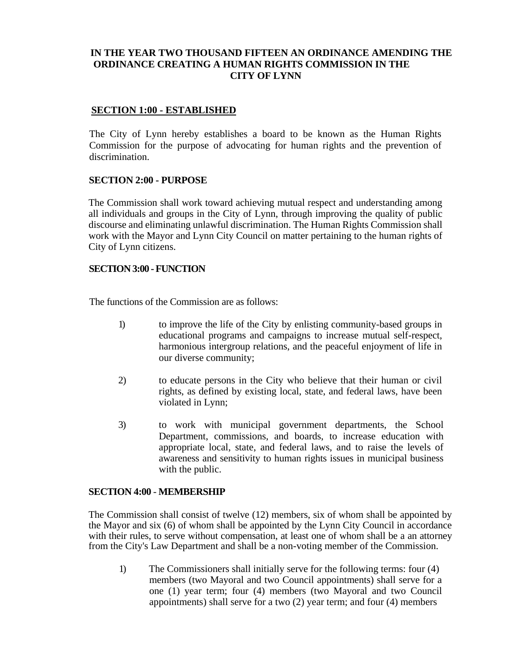### **IN THE YEAR TWO THOUSAND FIFTEEN AN ORDINANCE AMENDING THE ORDINANCE CREATING A HUMAN RIGHTS COMMISSION IN THE CITY OF LYNN**

#### **SECTION 1:00 - ESTABLISHED**

The City of Lynn hereby establishes a board to be known as the Human Rights Commission for the purpose of advocating for human rights and the prevention of discrimination.

#### **SECTION 2:00 - PURPOSE**

The Commission shall work toward achieving mutual respect and understanding among all individuals and groups in the City of Lynn, through improving the quality of public discourse and eliminating unlawful discrimination. The Human Rights Commission shall work with the Mayor and Lynn City Council on matter pertaining to the human rights of City of Lynn citizens.

#### **SECTION 3:00 -FUNCTION**

The functions of the Commission are as follows:

- 1) to improve the life of the City by enlisting community-based groups in educational programs and campaigns to increase mutual self-respect, harmonious intergroup relations, and the peaceful enjoyment of life in our diverse community;
- 2) to educate persons in the City who believe that their human or civil rights, as defined by existing local, state, and federal laws, have been violated in Lynn;
- 3) to work with municipal government departments, the School Department, commissions, and boards, to increase education with appropriate local, state, and federal laws, and to raise the levels of awareness and sensitivity to human rights issues in municipal business with the public.

#### **SECTION 4:00** - **MEMBERSHIP**

The Commission shall consist of twelve (12) members, six of whom shall be appointed by the Mayor and six (6) of whom shall be appointed by the Lynn City Council in accordance with their rules, to serve without compensation, at least one of whom shall be a an attorney from the City's Law Department and shall be a non-voting member of the Commission.

1) The Commissioners shall initially serve for the following terms: four (4) members (two Mayoral and two Council appointments) shall serve for a one (1) year term; four (4) members (two Mayoral and two Council appointments) shall serve for a two (2) year term; and four (4) members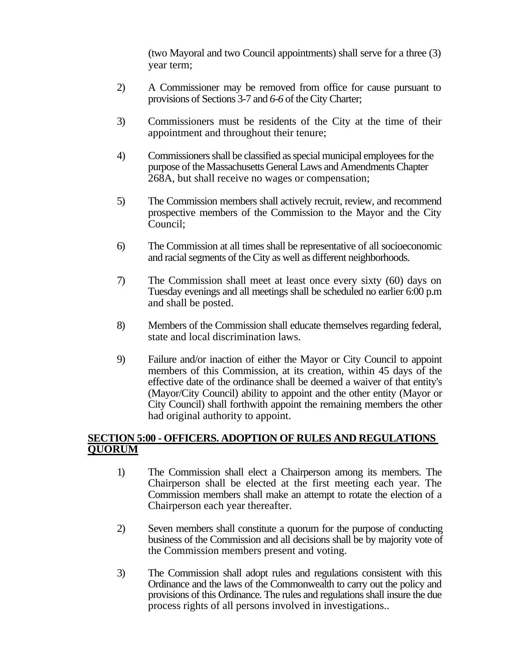(two Mayoral and two Council appointments) shall serve for a three (3) year term;

- 2) A Commissioner may be removed from office for cause pursuant to provisions of Sections 3-7 and *6-6* of the City Charter;
- 3) Commissioners must be residents of the City at the time of their appointment and throughout their tenure;
- 4) Commissioners shall be classified as special municipal employees for the purpose of the Massachusetts General Laws and Amendments Chapter 268A, but shall receive no wages or compensation;
- 5) The Commission members shall actively recruit, review, and recommend prospective members of the Commission to the Mayor and the City Council;
- 6) The Commission at all times shall be representative of all socioeconomic and racial segments of the City as well as different neighborhoods.
- 7) The Commission shall meet at least once every sixty (60) days on Tuesday evenings and all meetings shall be scheduled no earlier 6:00 p.m and shall be posted.
- 8) Members of the Commission shall educate themselves regarding federal, state and local discrimination laws.
- 9) Failure and/or inaction of either the Mayor or City Council to appoint members of this Commission, at its creation, within 45 days of the effective date of the ordinance shall be deemed a waiver of that entity's (Mayor/City Council) ability to appoint and the other entity (Mayor or City Council) shall forthwith appoint the remaining members the other had original authority to appoint.

## **SECTION 5:00 - OFFICERS. ADOPTION OF RULES AND REGULATIONS QUORUM**

- 1) The Commission shall elect a Chairperson among its members. The Chairperson shall be elected at the first meeting each year. The Commission members shall make an attempt to rotate the election of a Chairperson each year thereafter.
- 2) Seven members shall constitute a quorum for the purpose of conducting business of the Commission and all decisions shall be by majority vote of the Commission members present and voting.
- 3) The Commission shall adopt rules and regulations consistent with this Ordinance and the laws of the Commonwealth to carry out the policy and provisions of this Ordinance. The rules and regulations shall insure the due process rights of all persons involved in investigations..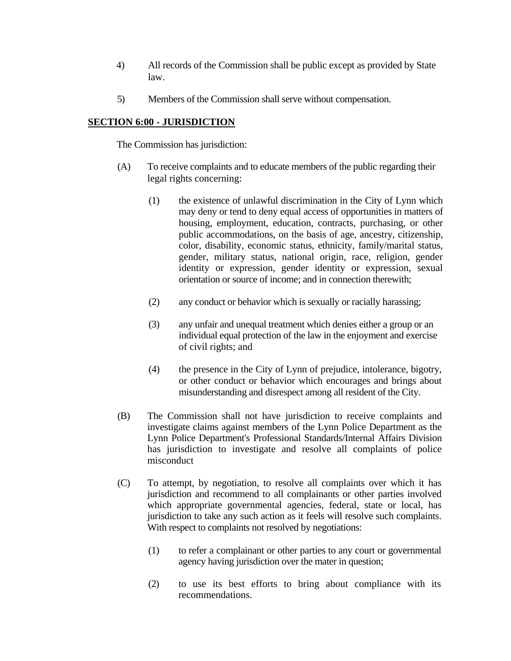- 4) All records of the Commission shall be public except as provided by State law.
- 5) Members of the Commission shall serve without compensation.

# **SECTION 6:00 - JURISDICTION**

The Commission has jurisdiction:

- (A) To receive complaints and to educate members of the public regarding their legal rights concerning:
	- (1) the existence of unlawful discrimination in the City of Lynn which may deny or tend to deny equal access of opportunities in matters of housing, employment, education, contracts, purchasing, or other public accommodations, on the basis of age, ancestry, citizenship, color, disability, economic status, ethnicity, family/marital status, gender, military status, national origin, race, religion, gender identity or expression, gender identity or expression, sexual orientation or source of income; and in connection therewith;
	- (2) any conduct or behavior which is sexually or racially harassing;
	- (3) any unfair and unequal treatment which denies either a group or an individual equal protection of the law in the enjoyment and exercise of civil rights; and
	- (4) the presence in the City of Lynn of prejudice, intolerance, bigotry, or other conduct or behavior which encourages and brings about misunderstanding and disrespect among all resident of the City.
- (B) The Commission shall not have jurisdiction to receive complaints and investigate claims against members of the Lynn Police Department as the Lynn Police Department's Professional Standards/Internal Affairs Division has jurisdiction to investigate and resolve all complaints of police misconduct
- (C) To attempt, by negotiation, to resolve all complaints over which it has jurisdiction and recommend to all complainants or other parties involved which appropriate governmental agencies, federal, state or local, has jurisdiction to take any such action as it feels will resolve such complaints. With respect to complaints not resolved by negotiations:
	- (1) to refer a complainant or other parties to any court or governmental agency having jurisdiction over the mater in question;
	- (2) to use its best efforts to bring about compliance with its recommendations.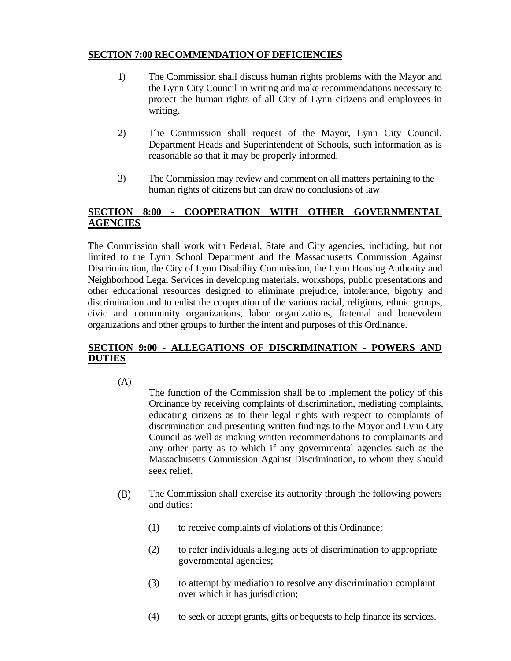### **SECTION 7:00 RECOMMENDATION OF DEFICIENCIES**

- 1) The Commission shall discuss human rights problems with the Mayor and the Lynn City Council in writing and make recommendations necessary to protect the human rights of all City of Lynn citizens and employees in writing.
- 2) The Commission shall request of the Mayor, Lynn City Council, Department Heads and Superintendent of Schools, such information as is reasonable so that it may be properly informed.
- 3) The Commission may review and comment on all matters pertaining to the human rights of citizens but can draw no conclusions of law

## **SECTION 8:00 - COOPERATION WITH OTHER GOVERNMENTAL AGENCIES**

The Commission shall work with Federal, State and City agencies, including, but not limited to the Lynn School Department and the Massachusetts Commission Against Discrimination, the City of Lynn Disability Commission, the Lynn Housing Authority and Neighborhood Legal Services in developing materials, workshops, public presentations and other educational resources designed to eliminate prejudice, intolerance, bigotry and discrimination and to enlist the cooperation of the various racial, religious, ethnic groups, civic and community organizations, labor organizations, ftatemal and benevolent organizations and other groups to further the intent and purposes of this Ordinance.

## **SECTION 9:00 - ALLEGATIONS OF DISCRIMINATION - POWERS AND DUTIES**

(A)

The function of the Commission shall be to implement the policy of this Ordinance by receiving complaints of discrimination, mediating complaints, educating citizens as to their legal rights with respect to complaints of discrimination and presenting written findings to the Mayor and Lynn City Council as well as making written recommendations to complainants and any other party as to which if any governmental agencies such as the Massachusetts Commission Against Discrimination, to whom they should seek relief.

- The Commission shall exercise its authority through the following powers and duties: (B)
	- (1) to receive complaints of violations of this Ordinance;
	- (2) to refer individuals alleging acts of discrimination to appropriate governmental agencies;
	- (3) to attempt by mediation to resolve any discrimination complaint over which it has jurisdiction;
	- (4) to seek or accept grants, gifts or bequests to help finance its services.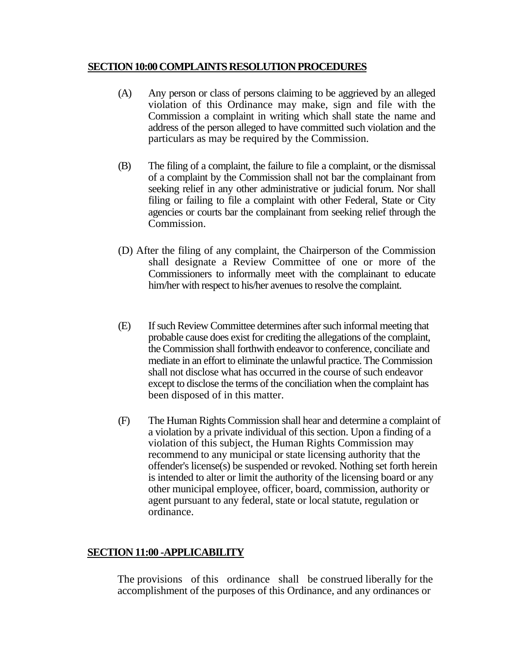### **SECTION 10:00 COMPLAINTS RESOLUTION PROCEDURES**

- (A) Any person or class of persons claiming to be aggrieved by an alleged violation of this Ordinance may make, sign and file with the Commission a complaint in writing which shall state the name and address of the person alleged to have committed such violation and the particulars as may be required by the Commission.
- (B) The filing of a complaint, the failure to file a complaint, or the dismissal of a complaint by the Commission shall not bar the complainant from seeking relief in any other administrative or judicial forum. Nor shall filing or failing to file a complaint with other Federal, State or City agencies or courts bar the complainant from seeking relief through the Commission.
- (D) After the filing of any complaint, the Chairperson of the Commission shall designate a Review Committee of one or more of the Commissioners to informally meet with the complainant to educate him/her with respect to his/her avenues to resolve the complaint.
- (E) If such Review Committee determines after such informal meeting that probable cause does exist for crediting the allegations of the complaint, the Commission shall forthwith endeavor to conference, conciliate and mediate in an effort to eliminate the unlawful practice. The Commission shall not disclose what has occurred in the course of such endeavor except to disclose the terms of the conciliation when the complaint has been disposed of in this matter.
- (F) The Human Rights Commission shall hear and determine a complaint of a violation by a private individual of this section. Upon a finding of a violation of this subject, the Human Rights Commission may recommend to any municipal or state licensing authority that the offender's license(s) be suspended or revoked. Nothing set forth herein is intended to alter or limit the authority of the licensing board or any other municipal employee, officer, board, commission, authority or agent pursuant to any federal, state or local statute, regulation or ordinance.

# **SECTION 11:00 -APPLICABILITY**

The provisions of this ordinance shall be construed liberally for the accomplishment of the purposes of this Ordinance, and any ordinances or